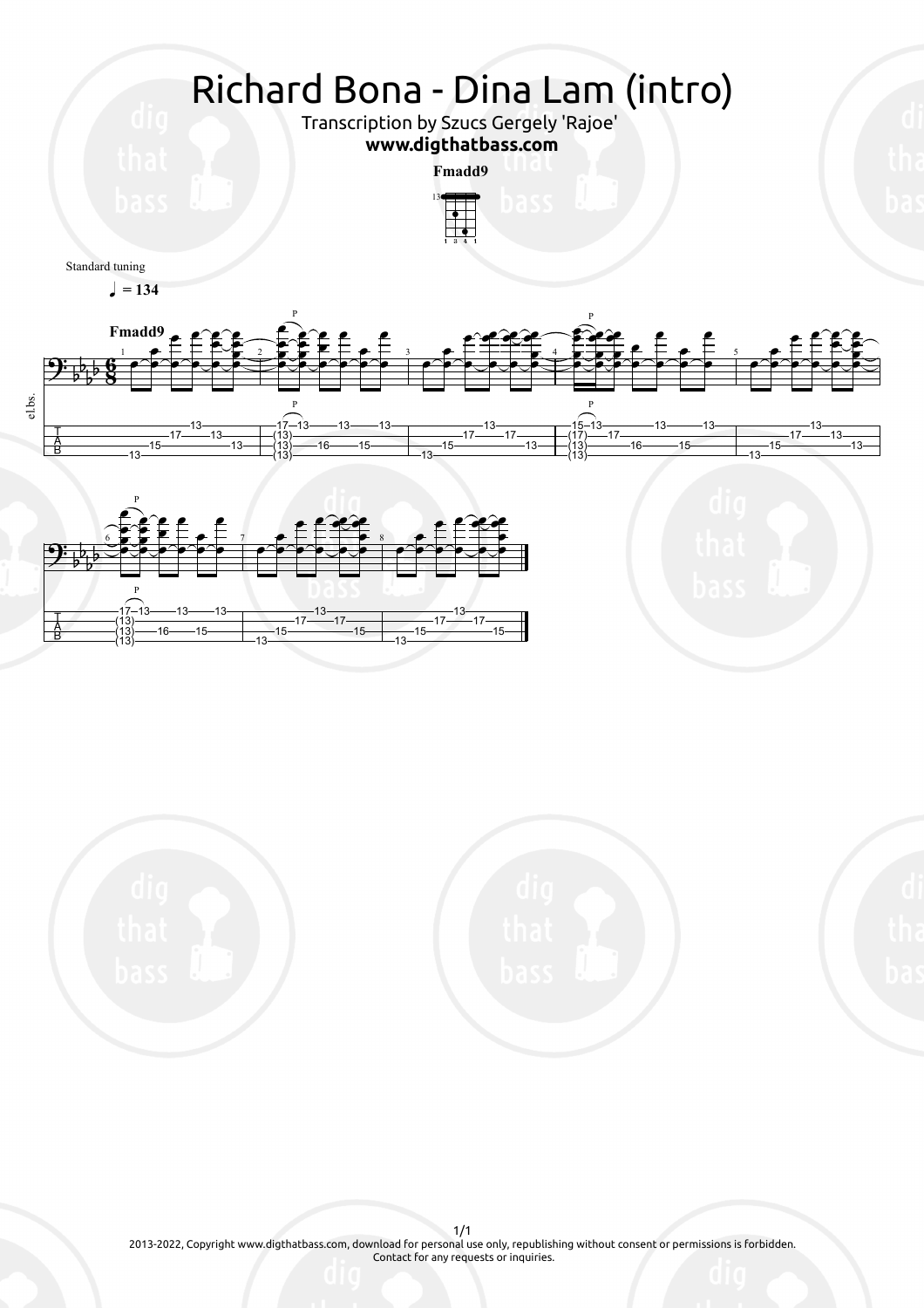

13

13

13



2013-2022, Copyright www.digthatbass.com, download for personal use only, republishing without consent or permissions is forbidden. Contact for any requests or inquiries.

1/1